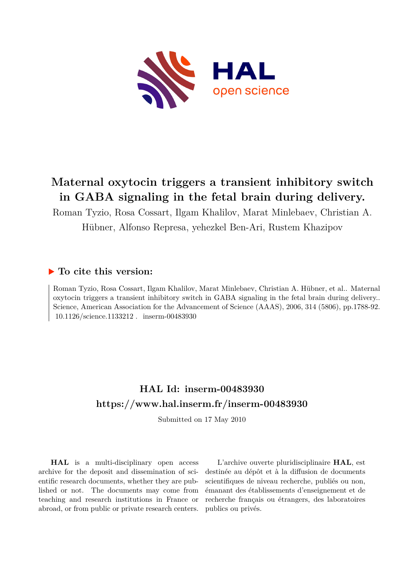

## **Maternal oxytocin triggers a transient inhibitory switch in GABA signaling in the fetal brain during delivery.**

Roman Tyzio, Rosa Cossart, Ilgam Khalilov, Marat Minlebaev, Christian A. Hübner, Alfonso Represa, yehezkel Ben-Ari, Rustem Khazipov

## **To cite this version:**

Roman Tyzio, Rosa Cossart, Ilgam Khalilov, Marat Minlebaev, Christian A. Hübner, et al.. Maternal oxytocin triggers a transient inhibitory switch in GABA signaling in the fetal brain during delivery.. Science, American Association for the Advancement of Science (AAAS), 2006, 314 (5806), pp.1788-92.  $10.1126/\text{science}.1133212$ . inserm-00483930

## **HAL Id: inserm-00483930 <https://www.hal.inserm.fr/inserm-00483930>**

Submitted on 17 May 2010

**HAL** is a multi-disciplinary open access archive for the deposit and dissemination of scientific research documents, whether they are published or not. The documents may come from teaching and research institutions in France or abroad, or from public or private research centers.

L'archive ouverte pluridisciplinaire **HAL**, est destinée au dépôt et à la diffusion de documents scientifiques de niveau recherche, publiés ou non, émanant des établissements d'enseignement et de recherche français ou étrangers, des laboratoires publics ou privés.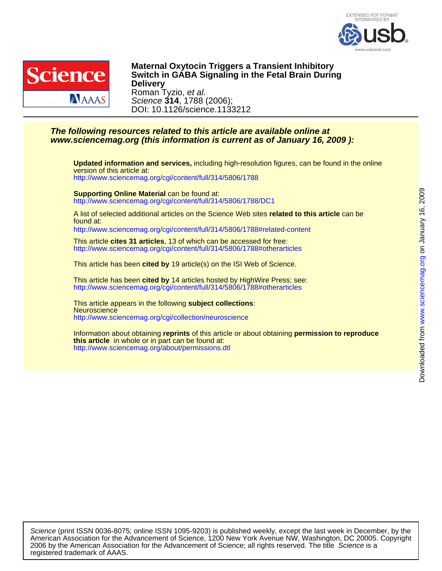



DOI: 10.1126/science.1133212 Science **314**, 1788 (2006); Roman Tyzio, et al. **Delivery Switch in GABA Signaling in the Fetal Brain During Maternal Oxytocin Triggers a Transient Inhibitory**

## **www.sciencemag.org (this information is current as of January 16, 2009 ): The following resources related to this article are available online at**

<http://www.sciencemag.org/cgi/content/full/314/5806/1788> version of this article at: **Updated information and services,** including high-resolution figures, can be found in the online

<http://www.sciencemag.org/cgi/content/full/314/5806/1788/DC1> **Supporting Online Material** can be found at:

found at: A list of selected additional articles on the Science Web sites **related to this article** can be

<http://www.sciencemag.org/cgi/content/full/314/5806/1788#related-content>

<http://www.sciencemag.org/cgi/content/full/314/5806/1788#otherarticles> This article **cites 31 articles**, 13 of which can be accessed for free:

This article has been **cited by** 19 article(s) on the ISI Web of Science.

<http://www.sciencemag.org/cgi/content/full/314/5806/1788#otherarticles> This article has been **cited by** 14 articles hosted by HighWire Press; see:

<http://www.sciencemag.org/cgi/collection/neuroscience> **Neuroscience** This article appears in the following **subject collections**:

<http://www.sciencemag.org/about/permissions.dtl> **this article** in whole or in part can be found at: Information about obtaining **reprints** of this article or about obtaining **permission to reproduce**

registered trademark of AAAS. 2006 by the American Association for the Advancement of Science; all rights reserved. The title Science is a American Association for the Advancement of Science, 1200 New York Avenue NW, Washington, DC 20005. Copyright Science (print ISSN 0036-8075; online ISSN 1095-9203) is published weekly, except the last week in December, by the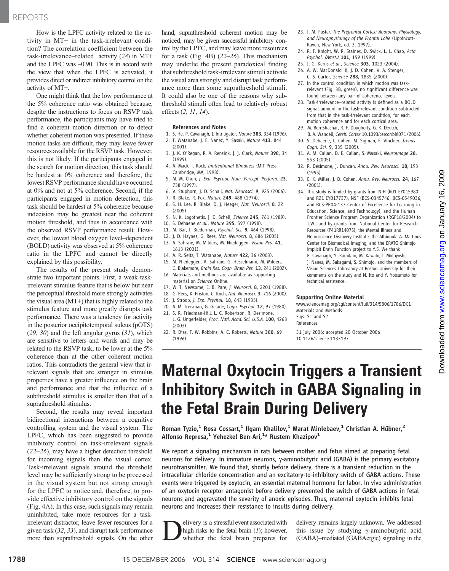## REPORTS

How is the LPFC activity related to the activity in MT+ in the task-irrelevant condition? The correlation coefficient between the task-irrelevance–related activity (28) in MT+ and the LPFC was –0.90. This is in accord with the view that when the LPFC is activated, it provides direct or indirect inhibitory control on the activity of MT+.

One might think that the low performance at the 5% coherence ratio was obtained because, despite the instructions to focus on RSVP task performance, the participants may have tried to find a coherent motion direction or to detect whether coherent motion was presented. If these motion tasks are difficult, they may leave fewer resources available for the RSVP task. However, this is not likely. If the participants engaged in the search for motion direction, this task should be hardest at 0% coherence and therefore, the lowest RSVP performance should have occurred at 0% and not at 5% coherence. Second, if the participants engaged in motion detection, this task should be hardest at 5% coherence because indecision may be greatest near the coherent motion threshold, and thus in accordance with the observed RSVP performance result. However, the lowest blood oxygen level–dependent (BOLD) activity was observed at 5% coherence ratio in the LPFC and cannot be directly explained by this possibility.

The results of the present study demonstrate two important points. First, a weak taskirrelevant stimulus feature that is below but near the perceptual threshold more strongly activates the visual area (MT+) that is highly related to the stimulus feature and more greatly disrupts task performance. There was a tendency for activity in the posterior occipitotemporal sulcus (pOTS)  $(29, 30)$  and the left angular gyrus  $(31)$ , which are sensitive to letters and words and may be related to the RSVP task, to be lower at the 5% coherence than at the other coherent motion ratios. This contradicts the general view that irrelevant signals that are stronger in stimulus properties have a greater influence on the brain and performance and that the influence of a subthreshold stimulus is smaller than that of a suprathreshold stimulus.

Second, the results may reveal important bidirectional interactions between a cognitive controlling system and the visual system. The LPFC, which has been suggested to provide inhibitory control on task-irrelevant signals (22–26), may have a higher detection threshold for incoming signals than the visual cortex. Task-irrelevant signals around the threshold level may be sufficiently strong to be processed in the visual system but not strong enough for the LPFC to notice and, therefore, to provide effective inhibitory control on the signals (Fig. 4A). In this case, such signals may remain uninhibited, take more resources for a taskirrelevant distractor, leave fewer resources for a given task (32, 33), and disrupt task performance more than suprathreshold signals. On the other

hand, suprathreshold coherent motion may be noticed, may be given successful inhibitory control by the LPFC, and may leave more resources for a task (Fig. 4B) (22–26). This mechanism may underlie the present paradoxical finding that subthreshold task-irrelevant stimuli activate the visual area strongly and disrupt task performance more than some suprathreshold stimuli. It could also be one of the reasons why subthreshold stimuli often lead to relatively robust effects (2, 11, 14).

#### References and Notes

- 1. S. He, P. Cavanagh, J. Intriligator, Nature 383, 334 (1996). 2. T. Watanabe, J. E. Nanez, Y. Sasaki, Nature 413, 844 (2001).
- 3. J. K. O'Regan, R. A. Rensink, J. J. Clark, Nature 398, 34 (1999).
- 4. A. Mack, I. Rock, Inattentional Blindness (MIT Press, Cambridge, MA, 1998).
- 5. M. M. Chun, J. Exp. Psychol. Hum. Percept. Perform. 23, 738 (1997).
- 6. V. Stuphorn, J. D. Schall, Nat. Neurosci. 9, 925 (2006).
- 7. R. Blake, R. Fox, Nature 249, 488 (1974).
- 8. S. H. Lee, R. Blake, D. J. Heeger, Nat. Neurosci. 8, 22 (2005).
- 9. N. K. Logothetis, J. D. Schall, Science 245, 761 (1989).
- 10. S. Dehaene et al., Nature 395, 597 (1998).
- 11. M. Bar, I. Biederman, Psychol. Sci. 9, 464 (1998).
- 12. J. D. Haynes, G. Rees, Nat. Neurosci. 8, 686 (2005).
- 13. A. Sahraie, M. Milders, M. Niedeggen, Vision Res. 41, 1613 (2001).
- 14. A. R. Seitz, T. Watanabe, Nature 422, 36 (2003).
- 15. M. Niedeggen, A. Sahraie, G. Hesselmann, M. Milders, C. Blakemore, Brain Res. Cogn. Brain Res. 13, 241 (2002). 16. Materials and methods are available as supporting
- material on Science Online.
- 17. W. T. Newsome, E. B. Pare, J. Neurosci. 8, 2201 (1988).
- 18. G. Rees, K. Friston, C. Koch, Nat. Neurosci. 3, 716 (2000).
- 19. J. Stroop, J. Exp. Psychol. 18, 643 (1935).
- 20. A. M. Treisman, G. Gelade, Cogn. Psychol. 12, 97 (1980).
- 21. S. R. Friedman-Hill, L. C. Robertson, R. Desimone, L. G. Ungerleider, Proc. Natl. Acad. Sci. U.S.A. 100, 4263 (2003).
- 22. R. Dias, T. W. Robbins, A. C. Roberts, Nature 380, 69 (1996).
- 23. J. M. Fuster, The Prefrontal Cortex: Anatomy, Physiology, and Neurophysiology of the Frontal Lobe (Lippincott-Raven, New York, ed. 3, 1997).
- 24. R. T. Knight, W. R. Staines, D. Swick, L. L. Chao, Acta Psychol. (Amst.) 101, 159 (1999).
- 25. J. G. Kerns et al., Science 303, 1023 (2004).
- 26. A. W. MacDonald III, J. D. Cohen, V. A. Stenger, C. S. Carter, Science 288, 1835 (2000).
- 27. In the control condition in which motion was taskrelevant (Fig. 3B, green), no significant difference was found between any pair of coherence levels.
- 28. Task-irrelevance–related activity is defined as a BOLD signal amount in the task-relevant condition subtracted from that in the task-irrelevant condition, for each motion coherence and for each cortical area.
- 29. M. Ben-Shachar, R. F. Dougherty, G. K. Deutch,
- B. A. Wandell, Cereb. Cortex 10.1093/cercor/bhl071 (2006). 30. S. Dehaene, L. Cohen, M. Sigman, F. Vinckier, Trends Coan. Sci. 9, 335 (2005).
- 31. A. M. Callan, D. E. Callan, S. Masaki, Neuroimage 28, 553 (2005).
- 32. R. Desimone, J. Duncan, Annu. Rev. Neurosci. 18, 193 (1995).
- 33. E. K. Miller, J. D. Cohen, Annu. Rev. Neurosci. 24, 167 (2001).
- 34. This study is funded by grants from NIH (R01 EY015980 and R21 EY017737), NSF (BCS-0345746, BCS-0549036, and BCS-PR04-137 Center of Excellence for Learning in Education, Science, and Technology), and the Human Frontier Science Program Organization (RGP18/2004) to T.W., and by grants from National Center for Research Resources (P41RR14075), the Mental Illness and Neuroscience Discovery Institute, the Athinoula A. Martinos Center for Biomedical Imaging, and the ERATO Shimojo Implicit Brain Function project to Y.S. We thank P. Cavanagh, Y. Kamitani, M. Kawato, I. Motoyoshi, J. Nanez, M. Sakagami, S. Shimojo, and the members of Vision Sciences Laboratory at Boston University for their
	- comments on the study and N. Ito and Y. Yotsumoto for technical assistance.

#### Supporting Online Material

www.sciencemag.org/cgi/content/full/314/5806/1786/DC1 Materials and Methods Figs. S1 and S2 References

31 July 2006; accepted 20 October 2006 10.1126/science.1133197

# Maternal Oxytocin Triggers a Transient Inhibitory Switch in GABA Signaling in the Fetal Brain During Delivery

Roman Tyzio,<sup>1</sup> Rosa Cossart,<sup>1</sup> Ilgam Khalilov,<sup>1</sup> Marat Minlebaev,<sup>1</sup> Christian A. Hübner,<sup>2</sup> Alfonso Represa, $^1$  Yehezkel Ben-Ari, $^{1\star}$  Rustem Khazipov $^1$ 

We report a signaling mechanism in rats between mother and fetus aimed at preparing fetal neurons for delivery. In immature neurons,  $\gamma$ -aminobutyric acid (GABA) is the primary excitatory neurotransmitter. We found that, shortly before delivery, there is a transient reduction in the intracellular chloride concentration and an excitatory-to-inhibitory switch of GABA actions. These events were triggered by oxytocin, an essential maternal hormone for labor. In vivo administration of an oxytocin receptor antagonist before delivery prevented the switch of GABA actions in fetal neurons and aggravated the severity of anoxic episodes. Thus, maternal oxytocin inhibits fetal neurons and increases their resistance to insults during delivery.

**D** elivery is a stressful event associated with high risks to the fetal brain (1); however, whether the fetal brain prepares for high risks to the fetal brain  $(1)$ ; however, whether the fetal brain prepares for

delivery remains largely unknown. We addressed this issue by studying  $\gamma$ -aminobutyric acid (GABA)–mediated (GABAergic) signaling in the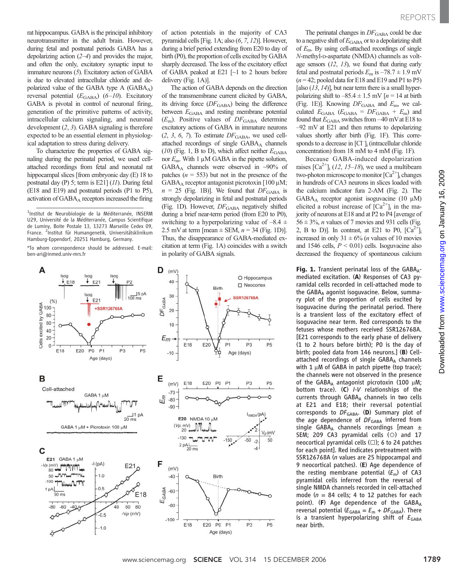rat hippocampus. GABA is the principal inhibitory neurotransmitter in the adult brain. However, during fetal and postnatal periods GABA has a depolarizing action (2–4) and provides the major, and often the only, excitatory synaptic input to immature neurons (5). Excitatory action of GABA is due to elevated intracellular chloride and depolarized value of the GABA type A (GABAA) reversal potential  $(E_{\text{GABA}})$  (6–10). Excitatory GABA is pivotal in control of neuronal firing, generation of the primitive patterns of activity, intracellular calcium signaling, and neuronal development (2, 3). GABA signaling is therefore expected to be an essential element in physiological adaptation to stress during delivery.

To characterize the properties of GABA signaling during the perinatal period, we used cellattached recordings from fetal and neonatal rat hippocampal slices [from embryonic day (E) 18 to postnatal day (P) 5; term is E21] (11). During fetal (E18 and E19) and postnatal periods (P1 to P5), activation of GABA<sub>A</sub> receptors increased the firing

<sup>1</sup>Institut de Neurobiologie de la Méditerranée, INSERM U29, Université de la Méditerranée, Campus Scientifique de Luminy, Boite Postale 13, 13273 Marseille Cedex 09, France. <sup>2</sup>Institut für Humangenetik, Universitätsklinikum Hamburg-Eppendorf, 20251 Hamburg, Germany.

\*To whom correspondence should be addressed. E-mail: ben-ari@inmed.univ-mrs.fr

A D  $(mV)$ 40  $15pA$ 30  $100 \text{ ms}$ DF<sub>GABA</sub> E21  $(%)$ +SSR126768A  $20$  $10$  $E_m$ E<sub>18</sub> E18 E20 P<sub>0</sub>  $P<sub>1</sub>$  $P3$ P5  $-10$ Age (days) Е в E18  $(m)$ Cell-attached  $-70$ GABA 1 uM  $E_{m}$  $-80$ Nman  $-90$  $\frac{11}{20}$  ms E20  $(Vp, mV)$ GABA 1 uM + Picrotoxin 100 uM  $-130$  $2 pA$   $\frac{1}{20}$  ms C E21 GABA 1 µM  $-(pA)$ F  $- Vp$  (mV)  $\mu$ E21  $(mV)$ **J'V'Turo**"  $.1.0$ 50 mm  $-40$  $-100$ Thurs EGABA  $0.5$ 1 pA  $-60$  $50 \text{ ms}$ E18  $-80$  $-80$ 40 60 80  $-60$  $-Vp$  (mV)  $-0.5$  $-100$ E18  $-1.0$ 

of action potentials in the majority of CA3 pyramidal cells [Fig. 1A; also (6, 7, 12)]. However, during a brief period extending from E20 to day of birth (P0), the proportion of cells excited by GABA sharply decreased. The loss of the excitatory effect of GABA peaked at E21  $\lceil$  to 2 hours before delivery (Fig. 1A)].

The action of GABA depends on the direction of the transmembrane current elicited by GABA, its driving force  $(DF_{\text{GABA}})$  being the difference between  $E_{\text{GABA}}$  and resting membrane potential  $(E<sub>m</sub>)$ . Positive values of  $DF<sub>GABA</sub>$  determine excitatory actions of GABA in immature neurons  $(2, 3, 6, 7)$ . To estimate  $DF<sub>GABA</sub>$ , we used cellattached recordings of single GABAA channels (10) (Fig. 1, B to D), which affect neither  $E_{\text{GABA}}$ nor  $E_m$ . With 1  $\mu$ M GABA in the pipette solution, GABA<sub>A</sub> channels were observed in  $\sim$ 90% of patches ( $n = 553$ ) but not in the presence of the GABA<sub>A</sub> receptor antagonist picrotoxin [100  $\mu$ M;  $n = 25$  (Fig. 1B)]. We found that  $DF_{\text{GABA}}$  is strongly depolarizing in fetal and postnatal periods (Fig. 1D). However,  $DF_{\text{GABA}}$  negatively shifted during a brief near-term period (from E20 to P0), switching to a hyperpolarizing value of  $-8.4 \pm$ 2.5 mV at term [mean  $\pm$  SEM,  $n = 34$  (Fig. 1D)]. Thus, the disappearance of GABA-mediated excitation at term (Fig. 1A) coincides with a switch in polarity of GABA signals.



The perinatal changes in  $DF_{\text{GABA}}$  could be due to a negative shift of  $E_{\text{GABA}}$  or to a depolarizing shift of  $E_{\text{m}}$ . By using cell-attached recordings of single N-methyl-D-aspartate (NMDA) channels as voltage sensors  $(12, 13)$ , we found that during early fetal and postnatal periods  $E_m$  is  $-78.7 \pm 1.9$  mV  $(n = 42;$  pooled data for E18 and E19 and P1 to P5) [also  $(13, 14)$ ], but near term there is a small hyperpolarizing shift to  $-85.4 \pm 1.5$  mV [ $n = 14$  at birth (Fig. 1E)]. Knowing  $DF_{\text{GABA}}$  and  $E_{\text{m}}$ , we calculated  $E_{\text{GABA}}$  ( $E_{\text{GABA}} = DF_{\text{GABA}} + E_{\text{m}}$ ) and found that  $E_{\rm GABA}$  switches from  $-40$  mV at E18 to –92 mV at E21 and then returns to depolarizing values shortly after birth (Fig. 1F). This corresponds to a decrease in [Cl<sup>-</sup>]<sub>i</sub> (intracellular chloride concentration) from 18 mM to 4 mM (Fig. 1F).

Because GABA-induced depolarization raises  $\lceil Ca^{2+} \rceil$  (12, 15–18), we used a multibeam two-photon microscope to monitor  $[Ca^{2+}]_i$  changes in hundreds of CA3 neurons in slices loaded with the calcium indicator fura 2-AM (Fig. 2). The  $GABA_A$  receptor agonist isoguvacine (10  $\mu$ M) elicited a robust increase of  $[Ca^{2+}]$ <sub>i</sub> in the majority of neurons at E18 and at P2 to P4 [average of  $56 \pm 3\%$ , *n* values of 7 movies and 931 cells (Fig. 2, B to D)]. In contrast, at E21 to P0,  $\lceil Ca^{2+} \rceil$ increased in only  $31 \pm 6\%$  (*n* values of 10 movies and 1546 cells,  $P \le 0.01$ ) cells. Isoguvacine also decreased the frequency of spontaneous calcium

Fig. 1. Transient perinatal loss of the  $GABA_{A}$ mediated excitation. (A) Responses of CA3 pyramidal cells recorded in cell-attached mode to the GABAA agonist isoguvacine. Below, summary plot of the proportion of cells excited by isoguvacine during the perinatal period. There is a transient loss of the excitatory effect of isoguvacine near term. Red corresponds to the fetuses whose mothers received SSR126768A. [E21 corresponds to the early phase of delivery (1 to 2 hours before birth); P0 is the day of birth; pooled data from 146 neurons.] (B) Cellattached recordings of single GABAA channels with  $1 \mu$ M of GABA in patch pipette (top trace); the channels were not observed in the presence of the GABA<sub>A</sub> antagonist picrotoxin (100  $\mu$ M; bottom trace). (C) <sup>I</sup>-<sup>V</sup> relationships of the currents through GABAA channels in two cells at E21 and E18; their reversal potential corresponds to  $DF_{\text{GABA}}$ . (D) Summary plot of the age dependence of  $DF_{GABA}$  inferred from single GABA<sub>A</sub> channels recordings [mean  $\pm$ SEM; 209 CA3 pyramidal cells (○) and 17 neocortical pyramidal cells (□); 6 to 24 patches for each point]. Red indicates pretreatment with SSR126768A (n values are 25 hippocampal and 9 neocortical patches). (E) Age dependence of the resting membrane potential  $(E_m)$  of CA3 pyramidal cells inferred from the reversal of single NMDA channels recorded in cell-attached mode ( $n = 84$  cells; 4 to 12 patches for each point). (F) Age dependence of the GABAA reversal potential ( $E_{\text{GABA}} = E_{\text{m}} + DF_{\text{GABA}}$ ). There is a transient hyperpolarizing shift of  $E_{\text{GABA}}$ near birth.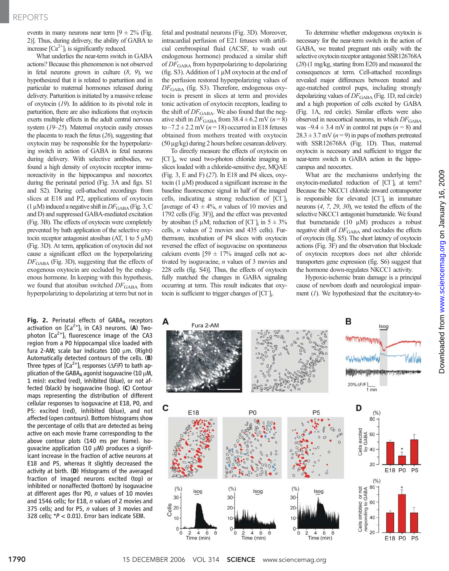### REPORTS

events in many neurons near term  $[9 \pm 2\%$  (Fig. 2)]. Thus, during delivery, the ability of GABA to increase  $[Ca^{2+}]$ <sub>i</sub> is significantly reduced.

What underlies the near-term switch in GABA actions? Because this phenomenon is not observed in fetal neurons grown in culture  $(8, 9)$ , we hypothesized that it is related to parturition and in particular to maternal hormones released during delivery. Parturition is initiated by a massive release of oxytocin (19). In addition to its pivotal role in parturition, there are also indications that oxytocin exerts multiple effects in the adult central nervous system (19–25). Maternal oxytocin easily crosses the placenta to reach the fetus (26), suggesting that oxytocin may be responsible for the hyperpolarizing switch in action of GABA in fetal neurons during delivery. With selective antibodies, we found a high density of oxytocin receptor immunoreactivity in the hippocampus and neocortex during the perinatal period (Fig. 3A and figs. S1 and S2). During cell-attached recordings from slices at E18 and P2, applications of oxytocin  $(1 \mu M)$  induced a negative shift in  $DF_{\text{GABA}}$  (Fig. 3, C and D) and suppressed GABA-mediated excitation (Fig. 3B). The effects of oxytocin were completely prevented by bath application of the selective oxytocin receptor antagonist atosiban (AT, 1 to 5  $\mu$ M) (Fig. 3D). At term, application of oxytocin did not cause a significant effect on the hyperpolarizing  $DF<sub>GABA</sub>$  (Fig. 3D), suggesting that the effects of exogenous oxytocin are occluded by the endogenous hormone. In keeping with this hypothesis, we found that atosiban switched  $DF_{\text{GABA}}$  from hyperpolarizing to depolarizing at term but not in

Fig. 2. Perinatal effects of  $GABA_A$  receptors activation on  $[Ca^{2+}]$ <sub>i</sub> in CA3 neurons. (A) Twophoton  $[Ca^{2+}]_i$  fluorescence image of the CA3 region from a P0 hippocampal slice loaded with fura 2-AM; scale bar indicates  $100 \mu m$ . (Right) Automatically detected contours of the cells. (B) Three types of  $[Ca^{2+}]$ <sub>i</sub> responses ( $\Delta$ F/F) to bath application of the GABAA agonist isoguvacine (10  $\mu$ M, 1 min): excited (red), inhibited (blue), or not affected (black) by isoguvacine (Isog). (C) Contour maps representing the distribution of different cellular responses to isoguvacine at E18, P0, and P5: excited (red), inhibited (blue), and not affected (open contours). Bottom histograms show the percentage of cells that are detected as being active on each movie frame corresponding to the above contour plots (140 ms per frame). Isoguvacine application (10  $\mu$ M) produces a significant increase in the fraction of active neurons at E18 and P5, whereas it slightly decreased the activity at birth. (D) Histograms of the averaged fraction of imaged neurons excited (top) or inhibited or nonaffected (bottom) by isoguvacine at different ages (for PO,  $n$  values of 10 movies and 1546 cells; for E18, *n* values of 2 movies and 375 cells; and for P5, n values of 3 movies and 328 cells; \*P < 0.01). Error bars indicate SEM.

fetal and postnatal neurons (Fig. 3D). Moreover, intracardial perfusion of E21 fetuses with artificial cerebrospinal fluid (ACSF, to wash out endogenous hormone) produced a similar shift of  $DF_{\text{GABA}}$  from hyperpolarizing to depolarizing (fig. S3). Addition of  $1 \mu M$  oxytocin at the end of the perfusion restored hyperpolarizing values of  $DF<sub>GABA</sub>$  (fig. S3). Therefore, endogenous oxytocin is present in slices at term and provides tonic activation of oxytocin receptors, leading to the shift of  $DF_{\text{GABA}}$ . We also found that the negative shift in  $DF_{\text{GABA}}$  from 38.4  $\pm$  6.2 mV (n = 8) to  $-7.2 \pm 2.2$  mV ( $n = 18$ ) occurred in E18 fetuses obtained from mothers treated with oxytocin  $(50 \,\mu g/kg)$  during 2 hours before cesarean delivery.

To directly measure the effects of oxytocin on [Cl– ]i , we used two-photon chloride imaging in slices loaded with a chloride-sensitive dye, MQAE (Fig. 3, E and F) (27). In E18 and P4 slices, oxytocin  $(1 \mu M)$  produced a significant increase in the baseline fluorescence signal in half of the imaged cells, indicating a strong reduction of  $\overline{[CI]}_i$ [average of 43  $\pm$  4%, *n* values of 10 movies and 1792 cells (Fig. 3F)], and the effect was prevented by atosiban  $(5 \mu M)$ ; reduction of  $[CI]_i$  in  $5 \pm 3\%$ <br>cells *n* values of 2 movies and 435 cells). Furcells, n values of 2 movies and 435 cells). Furthermore, incubation of P4 slices with oxytocin reversed the effect of isoguvacine on spontaneous calcium events  $[59 \pm 17\%$  imaged cells not activated by isoguvacine, n values of 3 movies and 228 cells (fig. S4)]. Thus, the effects of oxytocin fully matched the changes in GABA signaling occurring at term. This result indicates that oxytocin is sufficient to trigger changes of [Cl<sup>-</sup>]<sub>i</sub>.

To determine whether endogenous oxytocin is necessary for the near-term switch in the action of GABA, we treated pregnant rats orally with the selective oxytocin receptor antagonist SSR126768A (28) (1 mg/kg, starting from E20) and measured the consequences at term. Cell-attached recordings revealed major differences between treated and age-matched control pups, including strongly depolarizing values of  $DF_{\text{GABA}}$  (Fig. 1D, red circle) and a high proportion of cells excited by GABA (Fig. 1A, red circle). Similar effects were also observed in neocortical neurons, in which  $DF_{\text{GABA}}$ was  $-9.4 \pm 3.4$  mV in control rat pups ( $n = 8$ ) and  $28.3 \pm 3.7$  mV ( $n = 9$ ) in pups of mothers pretreated with SSR126768A (Fig. 1D). Thus, maternal oxytocin is necessary and sufficient to trigger the near-term switch in GABA action in the hippocampus and neocortex.

What are the mechanisms underlying the oxytocin-mediated reduction of [Cl– ]i at term? Because the NKCC1 chloride inward cotransporter is responsible for elevated  $\text{[CI]}_i$  in immature neurons (4, 7, 29, 30), we tested the effects of the selective NKCC1 antagonist bumetanide. We found that bumetanide  $(10 \mu M)$  produces a robust negative shift of  $DF_{\text{GABA}}$  and occludes the effects of oxytocin (fig. S5). The short latency of oxytocin actions (Fig. 3F) and the observation that blockade of oxytocin receptors does not alter chloride transporters gene expression (fig. S6) suggest that the hormone down-regulates NKCC1 activity.

Hypoxic-ischemic brain damage is a principal cause of newborn death and neurological impairment (1). We hypothesized that the excitatory-to-

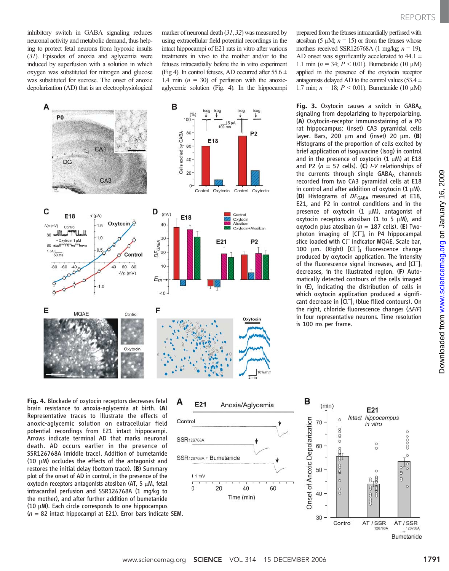inhibitory switch in GABA signaling reduces neuronal activity and metabolic demand, thus helping to protect fetal neurons from hypoxic insults (31). Episodes of anoxia and aglycemia were induced by superfusion with a solution in which oxygen was substituted for nitrogen and glucose was substituted for sucrose. The onset of anoxic depolarization (AD) that is an electrophysiological marker of neuronal death (31, 32) was measured by using extracellular field potential recordings in the intact hippocampi of E21 rats in vitro after various treatments in vivo to the mother and/or to the fetuses intracardially before the in vitro experiment (Fig 4). In control fetuses, AD occurred after  $55.6 \pm$ 1.4 min  $(n = 30)$  of perfusion with the anoxicaglycemic solution (Fig. 4). In the hippocampi



prepared from the fetuses intracardially perfused with atosiban (5  $\mu$ M; *n* = 15) or from the fetuses whose mothers received SSR126768A (1 mg/kg;  $n = 19$ ), AD onset was significantly accelerated to 44.1  $\pm$ 1.1 min ( $n = 34$ ;  $P < 0.01$ ). Bumetanide (10 µM) applied in the presence of the oxytocin receptor antagonists delayed AD to the control values (53.4  $\pm$ 1.7 min;  $n = 18$ ;  $P < 0.01$ ). Bumetanide (10 µM)

Fig. 3. Oxytocin causes a switch in  $GABA_A$ signaling from depolarizing to hyperpolarizing. (A) Oxytocin-receptor immunostaining of a P0 rat hippocampus; (inset) CA3 pyramidal cells layer. Bars, 200  $\mu$ m and (inset) 20  $\mu$ m. (B) Histograms of the proportion of cells excited by brief application of isoguvacine (Isog) in control and in the presence of oxytocin  $(1 \mu M)$  at E18 and P2 ( $n = 57$  cells). (C) I-V relationships of the currents through single GABAA channels recorded from two CA3 pyramidal cells at E18 in control and after addition of oxytocin  $(1 \mu M)$ . (D) Histograms of  $DF_{\text{GABA}}$  measured at E18, E21, and P2 in control conditions and in the presence of oxytocin  $(1 \mu M)$ , antagonist of oxytocin receptors atosiban (1 to 5  $\mu$ M), and oxytocin plus atosiban ( $n = 187$  cells). (E) Twophoton imaging of  $\text{[Cl]}_i$  in P4 hippocampal slice loaded with Cl<sup>-</sup> indicator MQAE. Scale bar, 100  $\mu$ m. (Right)  $\left[\text{CI}\right]_i$  fluorescence change<br>produced by oxytocin application. The intensity produced by oxytocin application. The intensity of the fluorescence signal increases, and [Cl<sup>-</sup>]; decreases, in the illustrated region. (F) Automatically detected contours of the cells imaged in (E), indicating the distribution of cells in which oxytocin application produced a significant decrease in [Cl– ]i (blue filled contours). On the right, chloride fluorescence changes  $(\Delta F/F)$ in four representative neurons. Time resolution is 100 ms per frame.

on January 16, 2009 [www.sciencemag.org](http://www.sciencemag.org) Downloaded from www.sciencemag.org on January 16, 2009 Downloaded from

Fig. 4. Blockade of oxytocin receptors decreases fetal brain resistance to anoxia-aglycemia at birth. (A) Representative traces to illustrate the effects of anoxic-aglycemic solution on extracellular field potential recordings from E21 intact hippocampi. Arrows indicate terminal AD that marks neuronal death. AD occurs earlier in the presence of SSR126768A (middle trace). Addition of bumetanide (10  $\mu$ M) occludes the effects of the antagonist and restores the initial delay (bottom trace). (B) Summary plot of the onset of AD in control, in the presence of the oxytocin receptors antagonists atosiban (AT, 5  $\mu$ M, fetal intracardial perfusion and SSR126768A (1 mg/kg to the mother), and after further addition of bumetanide (10  $\mu$ M). Each circle corresponds to one hippocampus





AT/SSR Bumetanide

126768A

 $0000$ 

 $\theta$ 

 $\overline{a}$